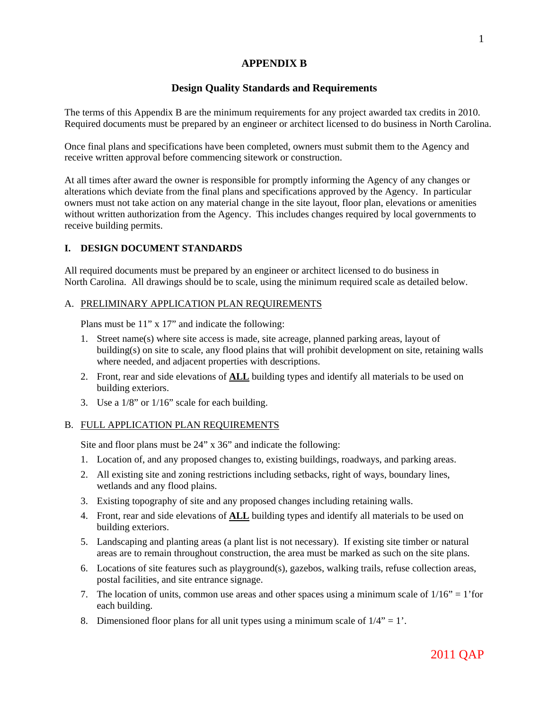# **APPENDIX B**

# **Design Quality Standards and Requirements**

The terms of this Appendix B are the minimum requirements for any project awarded tax credits in 2010. Required documents must be prepared by an engineer or architect licensed to do business in North Carolina.

Once final plans and specifications have been completed, owners must submit them to the Agency and receive written approval before commencing sitework or construction.

At all times after award the owner is responsible for promptly informing the Agency of any changes or alterations which deviate from the final plans and specifications approved by the Agency. In particular owners must not take action on any material change in the site layout, floor plan, elevations or amenities without written authorization from the Agency. This includes changes required by local governments to receive building permits.

## **I. DESIGN DOCUMENT STANDARDS**

All required documents must be prepared by an engineer or architect licensed to do business in North Carolina. All drawings should be to scale, using the minimum required scale as detailed below.

### A. PRELIMINARY APPLICATION PLAN REQUIREMENTS

Plans must be 11" x 17" and indicate the following:

- 1. Street name(s) where site access is made, site acreage, planned parking areas, layout of building(s) on site to scale, any flood plains that will prohibit development on site, retaining walls where needed, and adjacent properties with descriptions.
- 2. Front, rear and side elevations of **ALL** building types and identify all materials to be used on building exteriors.
- 3. Use a 1/8" or 1/16" scale for each building.

## B. FULL APPLICATION PLAN REQUIREMENTS

Site and floor plans must be 24" x 36" and indicate the following:

- 1. Location of, and any proposed changes to, existing buildings, roadways, and parking areas.
- 2. All existing site and zoning restrictions including setbacks, right of ways, boundary lines, wetlands and any flood plains.
- 3. Existing topography of site and any proposed changes including retaining walls.
- 4. Front, rear and side elevations of **ALL** building types and identify all materials to be used on building exteriors.
- 5. Landscaping and planting areas (a plant list is not necessary). If existing site timber or natural areas are to remain throughout construction, the area must be marked as such on the site plans.
- 6. Locations of site features such as playground(s), gazebos, walking trails, refuse collection areas, postal facilities, and site entrance signage.
- 7. The location of units, common use areas and other spaces using a minimum scale of  $1/16" = 1'$  for each building.
- 8. Dimensioned floor plans for all unit types using a minimum scale of  $1/4$ " = 1'.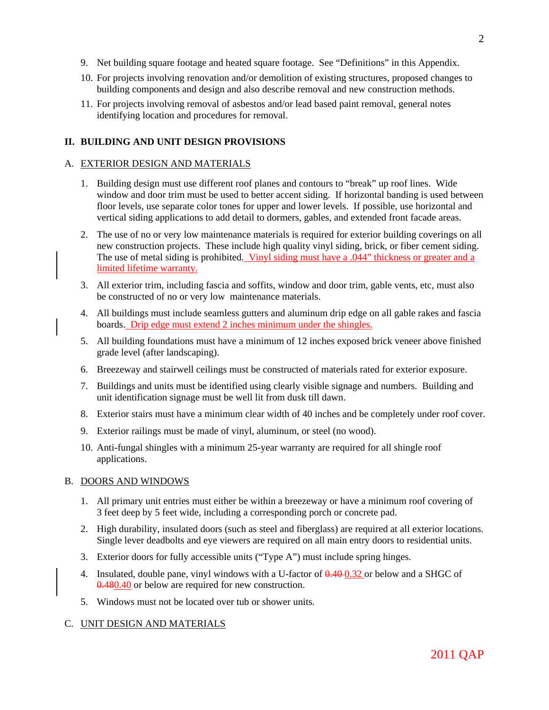- 9. Net building square footage and heated square footage. See "Definitions" in this Appendix.
- 10. For projects involving renovation and/or demolition of existing structures, proposed changes to building components and design and also describe removal and new construction methods.
- 11. For projects involving removal of asbestos and/or lead based paint removal, general notes identifying location and procedures for removal.

### **II. BUILDING AND UNIT DESIGN PROVISIONS**

#### A. EXTERIOR DESIGN AND MATERIALS

- 1. Building design must use different roof planes and contours to "break" up roof lines. Wide window and door trim must be used to better accent siding. If horizontal banding is used between floor levels, use separate color tones for upper and lower levels. If possible, use horizontal and vertical siding applications to add detail to dormers, gables, and extended front facade areas.
- 2. The use of no or very low maintenance materials is required for exterior building coverings on all new construction projects. These include high quality vinyl siding, brick, or fiber cement siding. The use of metal siding is prohibited. Vinyl siding must have a .044" thickness or greater and a limited lifetime warranty.
- 3. All exterior trim, including fascia and soffits, window and door trim, gable vents, etc, must also be constructed of no or very low maintenance materials.
- 4. All buildings must include seamless gutters and aluminum drip edge on all gable rakes and fascia boards. Drip edge must extend 2 inches minimum under the shingles.
- 5. All building foundations must have a minimum of 12 inches exposed brick veneer above finished grade level (after landscaping).
- 6. Breezeway and stairwell ceilings must be constructed of materials rated for exterior exposure.
- 7. Buildings and units must be identified using clearly visible signage and numbers. Building and unit identification signage must be well lit from dusk till dawn.
- 8. Exterior stairs must have a minimum clear width of 40 inches and be completely under roof cover.
- 9. Exterior railings must be made of vinyl, aluminum, or steel (no wood).
- 10. Anti-fungal shingles with a minimum 25-year warranty are required for all shingle roof applications.

#### B. DOORS AND WINDOWS

- 1. All primary unit entries must either be within a breezeway or have a minimum roof covering of 3 feet deep by 5 feet wide, including a corresponding porch or concrete pad.
- 2. High durability, insulated doors (such as steel and fiberglass) are required at all exterior locations. Single lever deadbolts and eye viewers are required on all main entry doors to residential units.
- 3. Exterior doors for fully accessible units ("Type A") must include spring hinges.
- 4. Insulated, double pane, vinyl windows with a U-factor of  $0.40-0.32$  or below and a SHGC of 0.480.40 or below are required for new construction.
- 5. Windows must not be located over tub or shower units.

#### C. UNIT DESIGN AND MATERIALS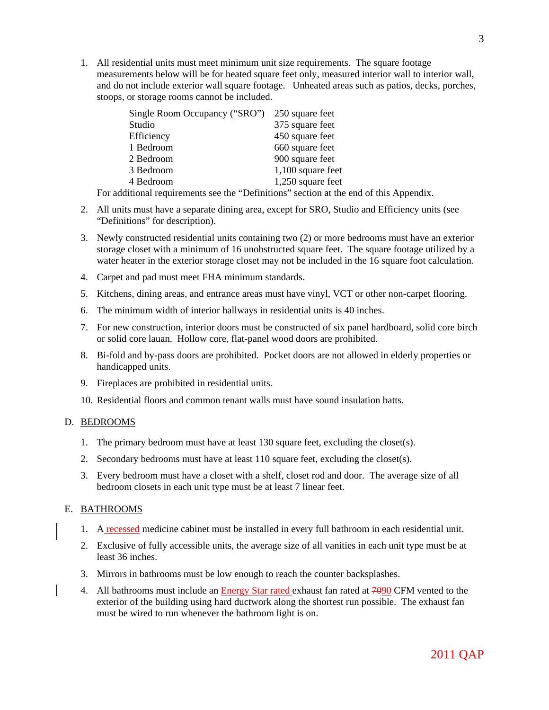1. All residential units must meet minimum unit size requirements. The square footage measurements below will be for heated square feet only, measured interior wall to interior wall, and do not include exterior wall square footage. Unheated areas such as patios, decks, porches, stoops, or storage rooms cannot be included.

| Single Room Occupancy ("SRO") | 250 square feet     |
|-------------------------------|---------------------|
| Studio                        | 375 square feet     |
| Efficiency                    | 450 square feet     |
| 1 Bedroom                     | 660 square feet     |
| 2 Bedroom                     | 900 square feet     |
| 3 Bedroom                     | $1,100$ square feet |
| 4 Bedroom                     | 1,250 square feet   |

For additional requirements see the "Definitions" section at the end of this Appendix.

- 2. All units must have a separate dining area, except for SRO, Studio and Efficiency units (see "Definitions" for description).
- 3. Newly constructed residential units containing two (2) or more bedrooms must have an exterior storage closet with a minimum of 16 unobstructed square feet. The square footage utilized by a water heater in the exterior storage closet may not be included in the 16 square foot calculation.
- 4. Carpet and pad must meet FHA minimum standards.
- 5. Kitchens, dining areas, and entrance areas must have vinyl, VCT or other non-carpet flooring.
- 6. The minimum width of interior hallways in residential units is 40 inches.
- 7. For new construction, interior doors must be constructed of six panel hardboard, solid core birch or solid core lauan. Hollow core, flat-panel wood doors are prohibited.
- 8. Bi-fold and by-pass doors are prohibited. Pocket doors are not allowed in elderly properties or handicapped units.
- 9. Fireplaces are prohibited in residential units.
- 10. Residential floors and common tenant walls must have sound insulation batts.

#### D. BEDROOMS

- 1. The primary bedroom must have at least 130 square feet, excluding the closet(s).
- 2. Secondary bedrooms must have at least 110 square feet, excluding the closet(s).
- 3. Every bedroom must have a closet with a shelf, closet rod and door. The average size of all bedroom closets in each unit type must be at least 7 linear feet.

#### E. BATHROOMS

- 1. A recessed medicine cabinet must be installed in every full bathroom in each residential unit.
- 2. Exclusive of fully accessible units, the average size of all vanities in each unit type must be at least 36 inches.
- 3. Mirrors in bathrooms must be low enough to reach the counter backsplashes.
- 4. All bathrooms must include an **Energy Star rated exhaust fan rated at 7000 CFM** vented to the exterior of the building using hard ductwork along the shortest run possible. The exhaust fan must be wired to run whenever the bathroom light is on.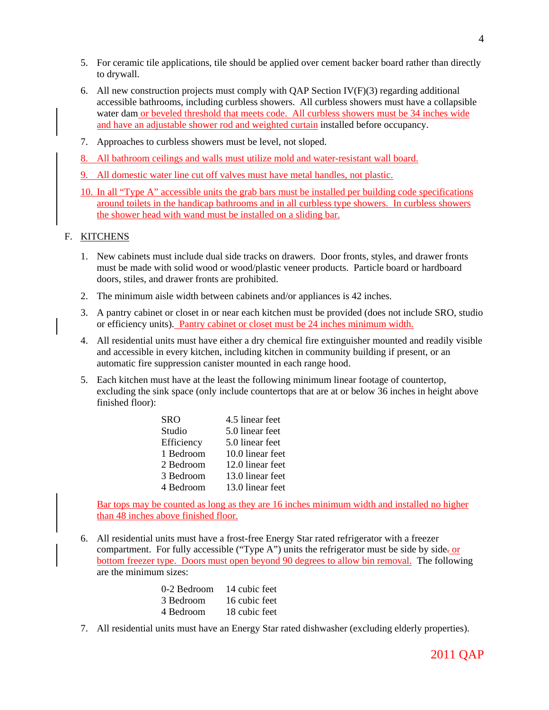- 5. For ceramic tile applications, tile should be applied over cement backer board rather than directly to drywall.
- 6. All new construction projects must comply with QAP Section  $IV(F)(3)$  regarding additional accessible bathrooms, including curbless showers. All curbless showers must have a collapsible water dam or beveled threshold that meets code. All curbless showers must be 34 inches wide and have an adjustable shower rod and weighted curtain installed before occupancy.
- 7. Approaches to curbless showers must be level, not sloped.
- 8. All bathroom ceilings and walls must utilize mold and water-resistant wall board.
- 9. All domestic water line cut off valves must have metal handles, not plastic.
- 10. In all "Type A" accessible units the grab bars must be installed per building code specifications around toilets in the handicap bathrooms and in all curbless type showers. In curbless showers the shower head with wand must be installed on a sliding bar.

#### F. KITCHENS

- 1. New cabinets must include dual side tracks on drawers. Door fronts, styles, and drawer fronts must be made with solid wood or wood/plastic veneer products. Particle board or hardboard doors, stiles, and drawer fronts are prohibited.
- 2. The minimum aisle width between cabinets and/or appliances is 42 inches.
- 3. A pantry cabinet or closet in or near each kitchen must be provided (does not include SRO, studio or efficiency units). Pantry cabinet or closet must be 24 inches minimum width.
- 4. All residential units must have either a dry chemical fire extinguisher mounted and readily visible and accessible in every kitchen, including kitchen in community building if present, or an automatic fire suppression canister mounted in each range hood.
- 5. Each kitchen must have at the least the following minimum linear footage of countertop, excluding the sink space (only include countertops that are at or below 36 inches in height above finished floor):

| SRO        | 4.5 linear feet  |
|------------|------------------|
| Studio     | 5.0 linear feet  |
| Efficiency | 5.0 linear feet  |
| 1 Bedroom  | 10.0 linear feet |
| 2 Bedroom  | 12.0 linear feet |
| 3 Bedroom  | 13.0 linear feet |
| 4 Bedroom  | 13.0 linear feet |

Bar tops may be counted as long as they are 16 inches minimum width and installed no higher than 48 inches above finished floor.

6. All residential units must have a frost-free Energy Star rated refrigerator with a freezer compartment. For fully accessible ("Type A") units the refrigerator must be side by side- $or$ bottom freezer type. Doors must open beyond 90 degrees to allow bin removal. The following are the minimum sizes:

| 0-2 Bedroom | 14 cubic feet |
|-------------|---------------|
| 3 Bedroom   | 16 cubic feet |
| 4 Bedroom   | 18 cubic feet |

7. All residential units must have an Energy Star rated dishwasher (excluding elderly properties).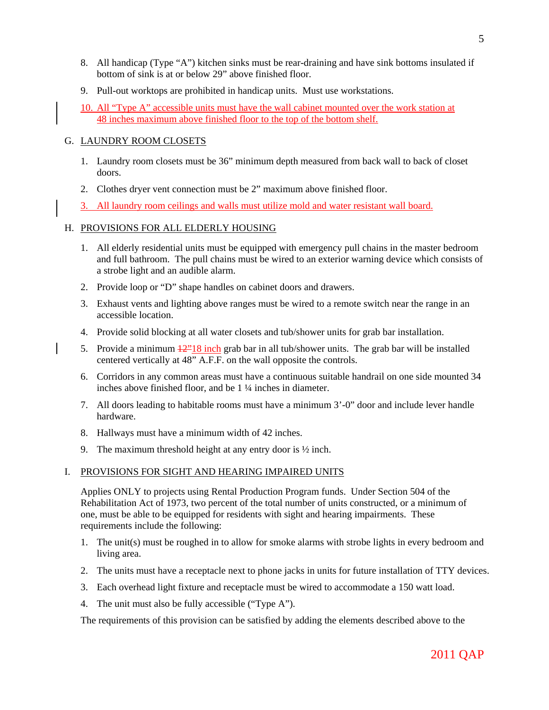- 8. All handicap (Type "A") kitchen sinks must be rear-draining and have sink bottoms insulated if bottom of sink is at or below 29" above finished floor.
- 9. Pull-out worktops are prohibited in handicap units. Must use workstations.
- 10. All "Type A" accessible units must have the wall cabinet mounted over the work station at 48 inches maximum above finished floor to the top of the bottom shelf.

## G. LAUNDRY ROOM CLOSETS

- 1. Laundry room closets must be 36" minimum depth measured from back wall to back of closet doors.
- 2. Clothes dryer vent connection must be 2" maximum above finished floor.
- 3. All laundry room ceilings and walls must utilize mold and water resistant wall board.

## H. PROVISIONS FOR ALL ELDERLY HOUSING

- 1. All elderly residential units must be equipped with emergency pull chains in the master bedroom and full bathroom. The pull chains must be wired to an exterior warning device which consists of a strobe light and an audible alarm.
- 2. Provide loop or "D" shape handles on cabinet doors and drawers.
- 3. Exhaust vents and lighting above ranges must be wired to a remote switch near the range in an accessible location.
- 4. Provide solid blocking at all water closets and tub/shower units for grab bar installation.
- 5. Provide a minimum  $\frac{12^{n}18 \text{ inch}}{2}$  grab bar in all tub/shower units. The grab bar will be installed centered vertically at 48" A.F.F. on the wall opposite the controls.
- 6. Corridors in any common areas must have a continuous suitable handrail on one side mounted 34 inches above finished floor, and be 1 ¼ inches in diameter.
- 7. All doors leading to habitable rooms must have a minimum 3'-0" door and include lever handle hardware.
- 8. Hallways must have a minimum width of 42 inches.
- 9. The maximum threshold height at any entry door is  $\frac{1}{2}$  inch.

#### I. PROVISIONS FOR SIGHT AND HEARING IMPAIRED UNITS

Applies ONLY to projects using Rental Production Program funds. Under Section 504 of the Rehabilitation Act of 1973, two percent of the total number of units constructed, or a minimum of one, must be able to be equipped for residents with sight and hearing impairments. These requirements include the following:

- 1. The unit(s) must be roughed in to allow for smoke alarms with strobe lights in every bedroom and living area.
- 2. The units must have a receptacle next to phone jacks in units for future installation of TTY devices.
- 3. Each overhead light fixture and receptacle must be wired to accommodate a 150 watt load.
- 4. The unit must also be fully accessible ("Type A").

The requirements of this provision can be satisfied by adding the elements described above to the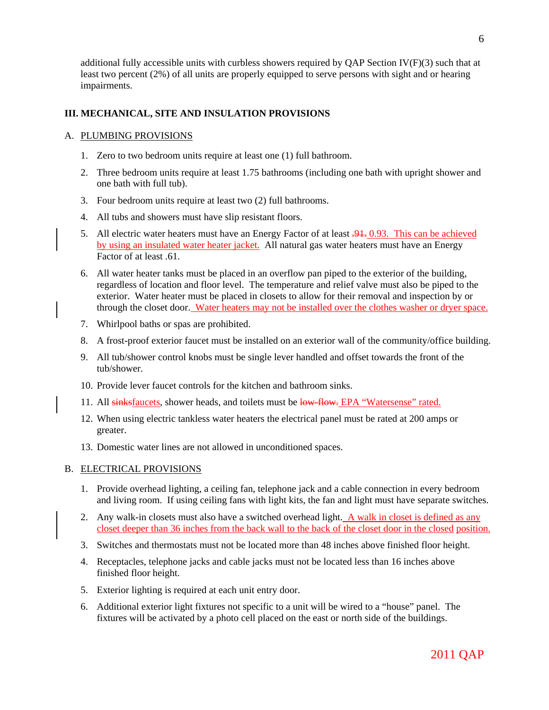additional fully accessible units with curbless showers required by QAP Section  $IV(F)(3)$  such that at least two percent (2%) of all units are properly equipped to serve persons with sight and or hearing impairments.

## **III. MECHANICAL, SITE AND INSULATION PROVISIONS**

## A. PLUMBING PROVISIONS

- 1. Zero to two bedroom units require at least one (1) full bathroom.
- 2. Three bedroom units require at least 1.75 bathrooms (including one bath with upright shower and one bath with full tub).
- 3. Four bedroom units require at least two (2) full bathrooms.
- 4. All tubs and showers must have slip resistant floors.
- 5. All electric water heaters must have an Energy Factor of at least  $\frac{.91}{.0.93}$ . This can be achieved by using an insulated water heater jacket. All natural gas water heaters must have an Energy Factor of at least .61.
- 6. All water heater tanks must be placed in an overflow pan piped to the exterior of the building, regardless of location and floor level. The temperature and relief valve must also be piped to the exterior. Water heater must be placed in closets to allow for their removal and inspection by or through the closet door. Water heaters may not be installed over the clothes washer or dryer space.
- 7. Whirlpool baths or spas are prohibited.
- 8. A frost-proof exterior faucet must be installed on an exterior wall of the community/office building.
- 9. All tub/shower control knobs must be single lever handled and offset towards the front of the tub/shower.
- 10. Provide lever faucet controls for the kitchen and bathroom sinks.
- 11. All sinksfaucets, shower heads, and toilets must be low-flow. EPA "Watersense" rated.
- 12. When using electric tankless water heaters the electrical panel must be rated at 200 amps or greater.
- 13. Domestic water lines are not allowed in unconditioned spaces.

#### B. ELECTRICAL PROVISIONS

- 1. Provide overhead lighting, a ceiling fan, telephone jack and a cable connection in every bedroom and living room. If using ceiling fans with light kits, the fan and light must have separate switches.
- 2. Any walk-in closets must also have a switched overhead light. A walk in closet is defined as any closet deeper than 36 inches from the back wall to the back of the closet door in the closed position.
- 3. Switches and thermostats must not be located more than 48 inches above finished floor height.
- 4. Receptacles, telephone jacks and cable jacks must not be located less than 16 inches above finished floor height.
- 5. Exterior lighting is required at each unit entry door.
- 6. Additional exterior light fixtures not specific to a unit will be wired to a "house" panel. The fixtures will be activated by a photo cell placed on the east or north side of the buildings.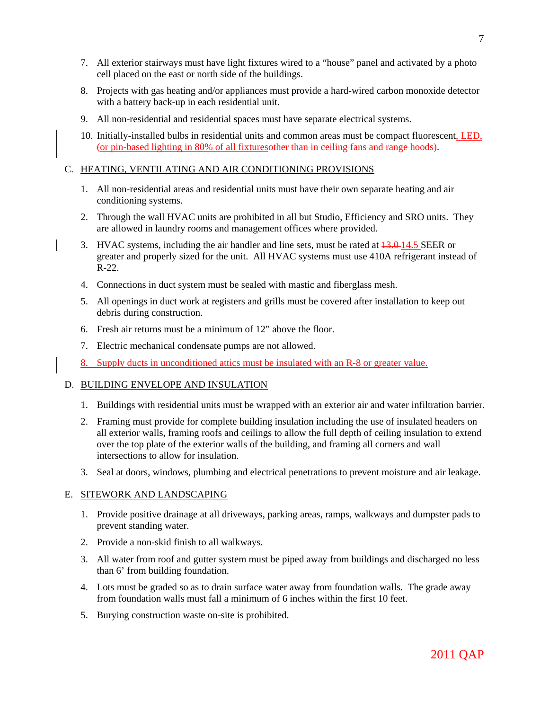- 7. All exterior stairways must have light fixtures wired to a "house" panel and activated by a photo cell placed on the east or north side of the buildings.
- 8. Projects with gas heating and/or appliances must provide a hard-wired carbon monoxide detector with a battery back-up in each residential unit.
- 9. All non-residential and residential spaces must have separate electrical systems.
- 10. Initially-installed bulbs in residential units and common areas must be compact fluorescent, LED, (or pin-based lighting in 80% of all fixturesother than in ceiling fans and range hoods).

### C. HEATING, VENTILATING AND AIR CONDITIONING PROVISIONS

- 1. All non-residential areas and residential units must have their own separate heating and air conditioning systems.
- 2. Through the wall HVAC units are prohibited in all but Studio, Efficiency and SRO units. They are allowed in laundry rooms and management offices where provided.
- 3. HVAC systems, including the air handler and line sets, must be rated at  $13.0$ -14.5 SEER or greater and properly sized for the unit. All HVAC systems must use 410A refrigerant instead of R-22.
- 4. Connections in duct system must be sealed with mastic and fiberglass mesh.
- 5. All openings in duct work at registers and grills must be covered after installation to keep out debris during construction.
- 6. Fresh air returns must be a minimum of 12" above the floor.
- 7. Electric mechanical condensate pumps are not allowed.
- 8. Supply ducts in unconditioned attics must be insulated with an R-8 or greater value.

#### D. BUILDING ENVELOPE AND INSULATION

- 1. Buildings with residential units must be wrapped with an exterior air and water infiltration barrier.
- 2. Framing must provide for complete building insulation including the use of insulated headers on all exterior walls, framing roofs and ceilings to allow the full depth of ceiling insulation to extend over the top plate of the exterior walls of the building, and framing all corners and wall intersections to allow for insulation.
- 3. Seal at doors, windows, plumbing and electrical penetrations to prevent moisture and air leakage.

#### E. SITEWORK AND LANDSCAPING

- 1. Provide positive drainage at all driveways, parking areas, ramps, walkways and dumpster pads to prevent standing water.
- 2. Provide a non-skid finish to all walkways.
- 3. All water from roof and gutter system must be piped away from buildings and discharged no less than 6' from building foundation.
- 4. Lots must be graded so as to drain surface water away from foundation walls. The grade away from foundation walls must fall a minimum of 6 inches within the first 10 feet.
- 5. Burying construction waste on-site is prohibited.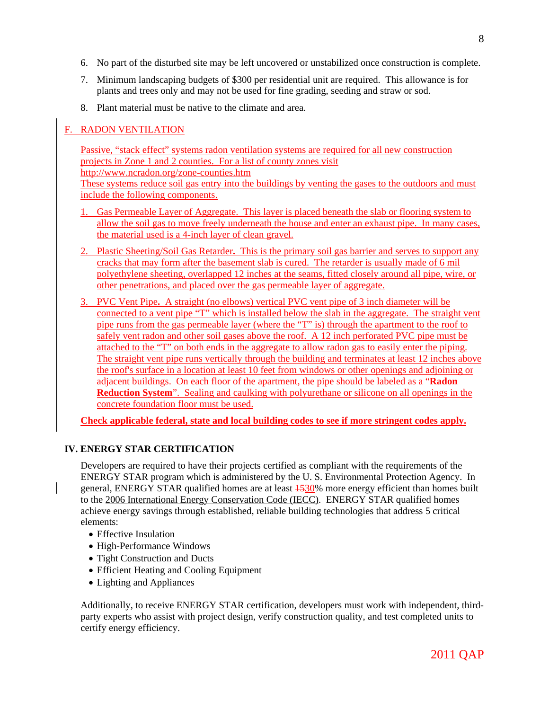- 6. No part of the disturbed site may be left uncovered or unstabilized once construction is complete.
- 7. Minimum landscaping budgets of \$300 per residential unit are required. This allowance is for plants and trees only and may not be used for fine grading, seeding and straw or sod.
- 8. Plant material must be native to the climate and area.

# F. RADON VENTILATION

Passive, "stack effect" systems radon ventilation systems are required for all new construction projects in Zone 1 and 2 counties. For a list of county zones visit http://www.ncradon.org/zone-counties.htm

These systems reduce soil gas entry into the buildings by venting the gases to the outdoors and must include the following components.

- 1. Gas Permeable Layer of Aggregate. This layer is placed beneath the slab or flooring system to allow the soil gas to move freely underneath the house and enter an exhaust pipe. In many cases, the material used is a 4-inch layer of clean gravel.
- 2. Plastic Sheeting/Soil Gas Retarder**.** This is the primary soil gas barrier and serves to support any cracks that may form after the basement slab is cured. The retarder is usually made of 6 mil polyethylene sheeting, overlapped 12 inches at the seams, fitted closely around all pipe, wire, or other penetrations, and placed over the gas permeable layer of aggregate.
- 3. PVC Vent Pipe**.** A straight (no elbows) vertical PVC vent pipe of 3 inch diameter will be connected to a vent pipe "T" which is installed below the slab in the aggregate. The straight vent pipe runs from the gas permeable layer (where the "T" is) through the apartment to the roof to safely vent radon and other soil gases above the roof. A 12 inch perforated PVC pipe must be attached to the "T" on both ends in the aggregate to allow radon gas to easily enter the piping. The straight vent pipe runs vertically through the building and terminates at least 12 inches above the roof's surface in a location at least 10 feet from windows or other openings and adjoining or adjacent buildings. On each floor of the apartment, the pipe should be labeled as a "**Radon Reduction System**". Sealing and caulking with polyurethane or silicone on all openings in the concrete foundation floor must be used.

**Check applicable federal, state and local building codes to see if more stringent codes apply.**

# **IV. ENERGY STAR CERTIFICATION**

Developers are required to have their projects certified as compliant with the requirements of the ENERGY STAR program which is administered by the U. S. Environmental Protection Agency. In general, ENERGY STAR qualified homes are at least  $\frac{1530}{\%}$  more energy efficient than homes built to the 2006 International Energy Conservation Code (IECC). ENERGY STAR qualified homes achieve energy savings through established, reliable building technologies that address 5 critical elements:

- Effective Insulation
- High-Performance Windows
- Tight Construction and Ducts
- Efficient Heating and Cooling Equipment
- Lighting and Appliances

Additionally, to receive ENERGY STAR certification, developers must work with independent, thirdparty experts who assist with project design, verify construction quality, and test completed units to certify energy efficiency.

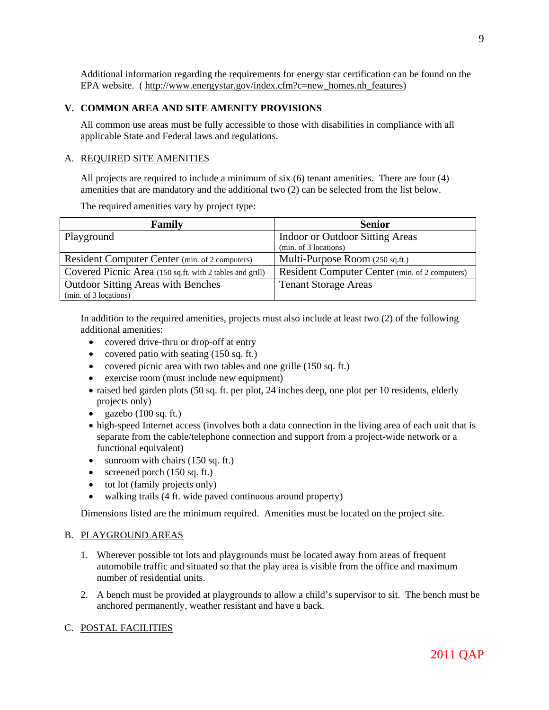Additional information regarding the requirements for energy star certification can be found on the EPA website. ( http://www.energystar.gov/index.cfm?c=new homes.nh features)

## **V. COMMON AREA AND SITE AMENITY PROVISIONS**

All common use areas must be fully accessible to those with disabilities in compliance with all applicable State and Federal laws and regulations.

## A. REQUIRED SITE AMENITIES

All projects are required to include a minimum of six (6) tenant amenities. There are four (4) amenities that are mandatory and the additional two (2) can be selected from the list below.

The required amenities vary by project type:

| Family                                                   | <b>Senior</b>                                  |
|----------------------------------------------------------|------------------------------------------------|
| Playground                                               | Indoor or Outdoor Sitting Areas                |
|                                                          | (min. of 3 locations)                          |
| Resident Computer Center (min. of 2 computers)           | Multi-Purpose Room (250 sq.ft.)                |
| Covered Picnic Area (150 sq.ft. with 2 tables and grill) | Resident Computer Center (min. of 2 computers) |
| <b>Outdoor Sitting Areas with Benches</b>                | <b>Tenant Storage Areas</b>                    |
| (min. of 3 locations)                                    |                                                |

In addition to the required amenities, projects must also include at least two (2) of the following additional amenities:

- covered drive-thru or drop-off at entry
- covered patio with seating (150 sq. ft.)
- covered picnic area with two tables and one grille (150 sq. ft.)
- exercise room (must include new equipment)
- raised bed garden plots (50 sq. ft. per plot, 24 inches deep, one plot per 10 residents, elderly projects only)
- gazebo  $(100 \text{ sq. ft.})$
- high-speed Internet access (involves both a data connection in the living area of each unit that is separate from the cable/telephone connection and support from a project-wide network or a functional equivalent)
- sunroom with chairs  $(150 \text{ sq. ft.})$
- screened porch  $(150 \text{ sq. ft.})$
- tot lot (family projects only)
- walking trails (4 ft. wide paved continuous around property)

Dimensions listed are the minimum required. Amenities must be located on the project site.

#### B. PLAYGROUND AREAS

- 1. Wherever possible tot lots and playgrounds must be located away from areas of frequent automobile traffic and situated so that the play area is visible from the office and maximum number of residential units.
- 2. A bench must be provided at playgrounds to allow a child's supervisor to sit. The bench must be anchored permanently, weather resistant and have a back.

#### C. POSTAL FACILITIES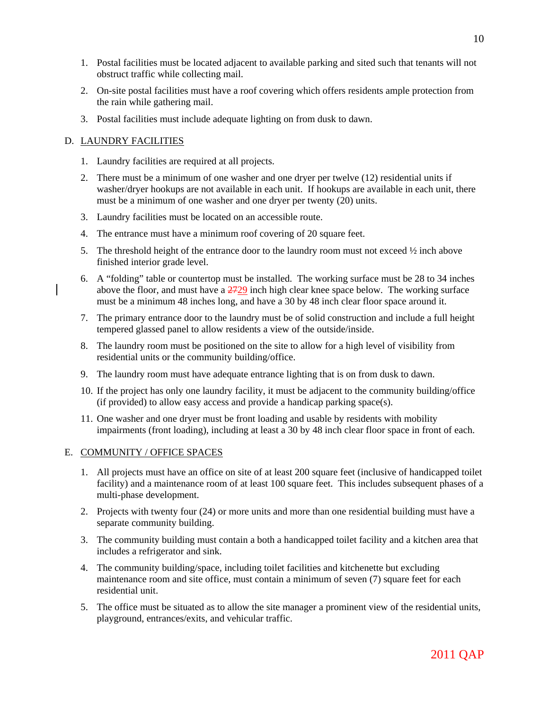- 1. Postal facilities must be located adjacent to available parking and sited such that tenants will not obstruct traffic while collecting mail.
- 2. On-site postal facilities must have a roof covering which offers residents ample protection from the rain while gathering mail.
- 3. Postal facilities must include adequate lighting on from dusk to dawn.

## D. LAUNDRY FACILITIES

- 1. Laundry facilities are required at all projects.
- 2. There must be a minimum of one washer and one dryer per twelve (12) residential units if washer/dryer hookups are not available in each unit. If hookups are available in each unit, there must be a minimum of one washer and one dryer per twenty (20) units.
- 3. Laundry facilities must be located on an accessible route.
- 4. The entrance must have a minimum roof covering of 20 square feet.
- 5. The threshold height of the entrance door to the laundry room must not exceed  $\frac{1}{2}$  inch above finished interior grade level.
- 6. A "folding" table or countertop must be installed. The working surface must be 28 to 34 inches above the floor, and must have a  $2729$  inch high clear knee space below. The working surface must be a minimum 48 inches long, and have a 30 by 48 inch clear floor space around it.
- 7. The primary entrance door to the laundry must be of solid construction and include a full height tempered glassed panel to allow residents a view of the outside/inside.
- 8. The laundry room must be positioned on the site to allow for a high level of visibility from residential units or the community building/office.
- 9. The laundry room must have adequate entrance lighting that is on from dusk to dawn.
- 10. If the project has only one laundry facility, it must be adjacent to the community building/office (if provided) to allow easy access and provide a handicap parking space(s).
- 11. One washer and one dryer must be front loading and usable by residents with mobility impairments (front loading), including at least a 30 by 48 inch clear floor space in front of each.

#### E. COMMUNITY / OFFICE SPACES

- 1. All projects must have an office on site of at least 200 square feet (inclusive of handicapped toilet facility) and a maintenance room of at least 100 square feet. This includes subsequent phases of a multi-phase development.
- 2. Projects with twenty four (24) or more units and more than one residential building must have a separate community building.
- 3. The community building must contain a both a handicapped toilet facility and a kitchen area that includes a refrigerator and sink.
- 4. The community building/space, including toilet facilities and kitchenette but excluding maintenance room and site office, must contain a minimum of seven (7) square feet for each residential unit.
- 5. The office must be situated as to allow the site manager a prominent view of the residential units, playground, entrances/exits, and vehicular traffic.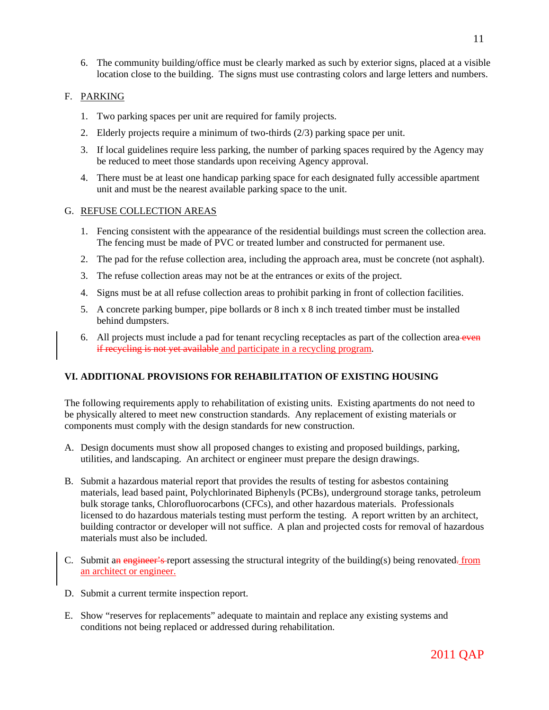6. The community building/office must be clearly marked as such by exterior signs, placed at a visible location close to the building. The signs must use contrasting colors and large letters and numbers.

# F. PARKING

- 1. Two parking spaces per unit are required for family projects.
- 2. Elderly projects require a minimum of two-thirds (2/3) parking space per unit.
- 3. If local guidelines require less parking, the number of parking spaces required by the Agency may be reduced to meet those standards upon receiving Agency approval.
- 4. There must be at least one handicap parking space for each designated fully accessible apartment unit and must be the nearest available parking space to the unit.

## G. REFUSE COLLECTION AREAS

- 1. Fencing consistent with the appearance of the residential buildings must screen the collection area. The fencing must be made of PVC or treated lumber and constructed for permanent use.
- 2. The pad for the refuse collection area, including the approach area, must be concrete (not asphalt).
- 3. The refuse collection areas may not be at the entrances or exits of the project.
- 4. Signs must be at all refuse collection areas to prohibit parking in front of collection facilities.
- 5. A concrete parking bumper, pipe bollards or 8 inch x 8 inch treated timber must be installed behind dumpsters.
- 6. All projects must include a pad for tenant recycling receptacles as part of the collection area even if recycling is not yet available and participate in a recycling program.

## **VI. ADDITIONAL PROVISIONS FOR REHABILITATION OF EXISTING HOUSING**

The following requirements apply to rehabilitation of existing units. Existing apartments do not need to be physically altered to meet new construction standards. Any replacement of existing materials or components must comply with the design standards for new construction.

- A. Design documents must show all proposed changes to existing and proposed buildings, parking, utilities, and landscaping. An architect or engineer must prepare the design drawings.
- B. Submit a hazardous material report that provides the results of testing for asbestos containing materials, lead based paint, Polychlorinated Biphenyls (PCBs), underground storage tanks, petroleum bulk storage tanks, Chlorofluorocarbons (CFCs), and other hazardous materials. Professionals licensed to do hazardous materials testing must perform the testing. A report written by an architect, building contractor or developer will not suffice. A plan and projected costs for removal of hazardous materials must also be included.
- C. Submit an engineer's report assessing the structural integrity of the building(s) being renovated. from an architect or engineer.
- D. Submit a current termite inspection report.
- E. Show "reserves for replacements" adequate to maintain and replace any existing systems and conditions not being replaced or addressed during rehabilitation.

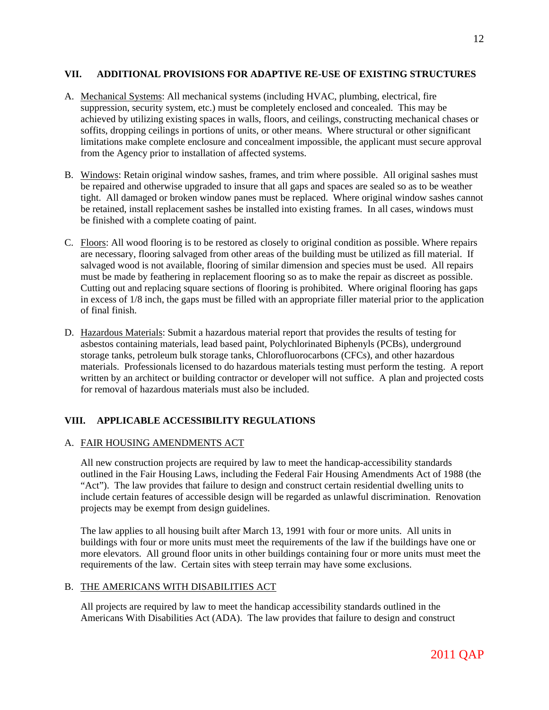## **VII. ADDITIONAL PROVISIONS FOR ADAPTIVE RE-USE OF EXISTING STRUCTURES**

- A. Mechanical Systems: All mechanical systems (including HVAC, plumbing, electrical, fire suppression, security system, etc.) must be completely enclosed and concealed. This may be achieved by utilizing existing spaces in walls, floors, and ceilings, constructing mechanical chases or soffits, dropping ceilings in portions of units, or other means. Where structural or other significant limitations make complete enclosure and concealment impossible, the applicant must secure approval from the Agency prior to installation of affected systems.
- B. Windows: Retain original window sashes, frames, and trim where possible. All original sashes must be repaired and otherwise upgraded to insure that all gaps and spaces are sealed so as to be weather tight. All damaged or broken window panes must be replaced. Where original window sashes cannot be retained, install replacement sashes be installed into existing frames. In all cases, windows must be finished with a complete coating of paint.
- C. Floors: All wood flooring is to be restored as closely to original condition as possible. Where repairs are necessary, flooring salvaged from other areas of the building must be utilized as fill material. If salvaged wood is not available, flooring of similar dimension and species must be used. All repairs must be made by feathering in replacement flooring so as to make the repair as discreet as possible. Cutting out and replacing square sections of flooring is prohibited. Where original flooring has gaps in excess of 1/8 inch, the gaps must be filled with an appropriate filler material prior to the application of final finish.
- D. Hazardous Materials: Submit a hazardous material report that provides the results of testing for asbestos containing materials, lead based paint, Polychlorinated Biphenyls (PCBs), underground storage tanks, petroleum bulk storage tanks, Chlorofluorocarbons (CFCs), and other hazardous materials. Professionals licensed to do hazardous materials testing must perform the testing. A report written by an architect or building contractor or developer will not suffice. A plan and projected costs for removal of hazardous materials must also be included.

## **VIII. APPLICABLE ACCESSIBILITY REGULATIONS**

## A. FAIR HOUSING AMENDMENTS ACT

All new construction projects are required by law to meet the handicap-accessibility standards outlined in the Fair Housing Laws, including the Federal Fair Housing Amendments Act of 1988 (the "Act"). The law provides that failure to design and construct certain residential dwelling units to include certain features of accessible design will be regarded as unlawful discrimination. Renovation projects may be exempt from design guidelines.

The law applies to all housing built after March 13, 1991 with four or more units. All units in buildings with four or more units must meet the requirements of the law if the buildings have one or more elevators. All ground floor units in other buildings containing four or more units must meet the requirements of the law. Certain sites with steep terrain may have some exclusions.

#### B. THE AMERICANS WITH DISABILITIES ACT

All projects are required by law to meet the handicap accessibility standards outlined in the Americans With Disabilities Act (ADA). The law provides that failure to design and construct

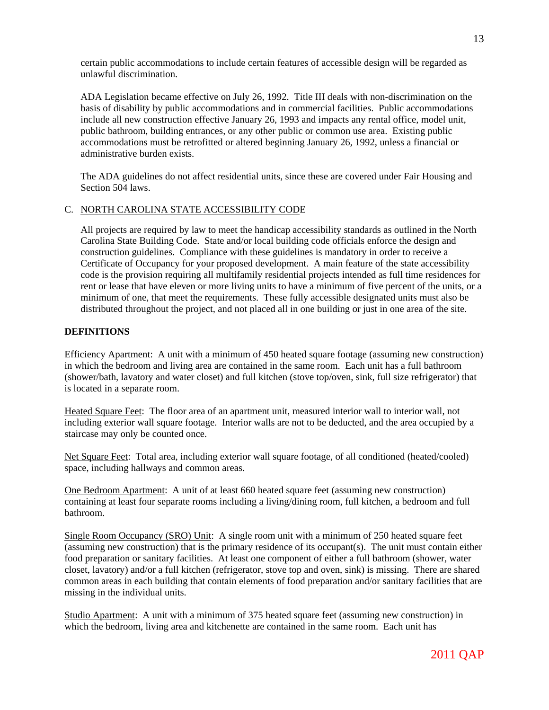certain public accommodations to include certain features of accessible design will be regarded as unlawful discrimination.

ADA Legislation became effective on July 26, 1992. Title III deals with non-discrimination on the basis of disability by public accommodations and in commercial facilities. Public accommodations include all new construction effective January 26, 1993 and impacts any rental office, model unit, public bathroom, building entrances, or any other public or common use area. Existing public accommodations must be retrofitted or altered beginning January 26, 1992, unless a financial or administrative burden exists.

The ADA guidelines do not affect residential units, since these are covered under Fair Housing and Section 504 laws.

## C. NORTH CAROLINA STATE ACCESSIBILITY CODE

All projects are required by law to meet the handicap accessibility standards as outlined in the North Carolina State Building Code. State and/or local building code officials enforce the design and construction guidelines. Compliance with these guidelines is mandatory in order to receive a Certificate of Occupancy for your proposed development. A main feature of the state accessibility code is the provision requiring all multifamily residential projects intended as full time residences for rent or lease that have eleven or more living units to have a minimum of five percent of the units, or a minimum of one, that meet the requirements. These fully accessible designated units must also be distributed throughout the project, and not placed all in one building or just in one area of the site.

## **DEFINITIONS**

Efficiency Apartment: A unit with a minimum of 450 heated square footage (assuming new construction) in which the bedroom and living area are contained in the same room. Each unit has a full bathroom (shower/bath, lavatory and water closet) and full kitchen (stove top/oven, sink, full size refrigerator) that is located in a separate room.

Heated Square Feet: The floor area of an apartment unit, measured interior wall to interior wall, not including exterior wall square footage. Interior walls are not to be deducted, and the area occupied by a staircase may only be counted once.

Net Square Feet: Total area, including exterior wall square footage, of all conditioned (heated/cooled) space, including hallways and common areas.

One Bedroom Apartment: A unit of at least 660 heated square feet (assuming new construction) containing at least four separate rooms including a living/dining room, full kitchen, a bedroom and full bathroom.

Single Room Occupancy (SRO) Unit: A single room unit with a minimum of 250 heated square feet (assuming new construction) that is the primary residence of its occupant(s). The unit must contain either food preparation or sanitary facilities. At least one component of either a full bathroom (shower, water closet, lavatory) and/or a full kitchen (refrigerator, stove top and oven, sink) is missing. There are shared common areas in each building that contain elements of food preparation and/or sanitary facilities that are missing in the individual units.

Studio Apartment: A unit with a minimum of 375 heated square feet (assuming new construction) in which the bedroom, living area and kitchenette are contained in the same room. Each unit has